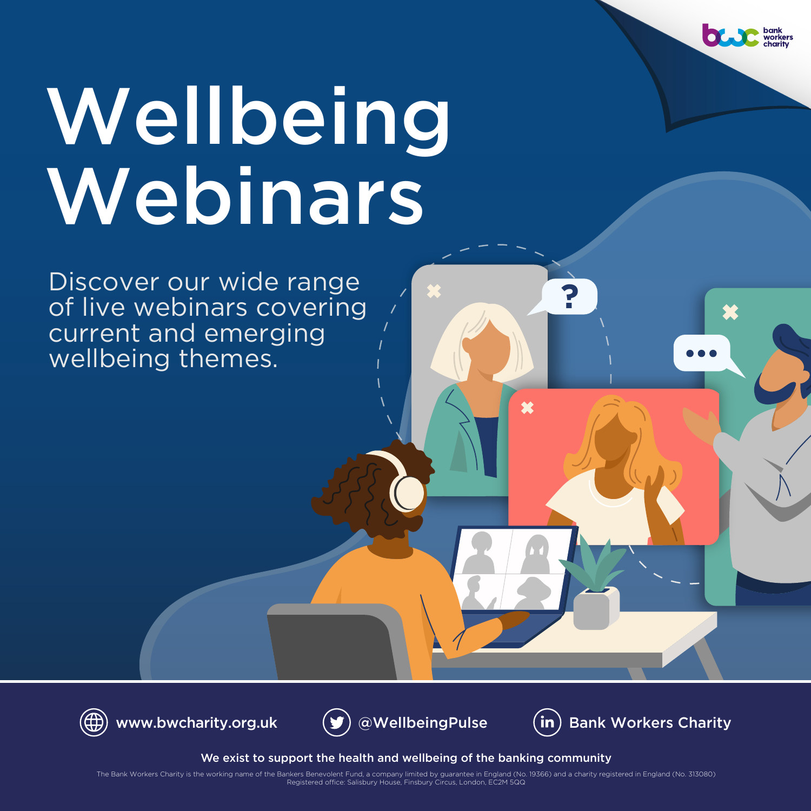# Wellbeing Webinars

Discover our wide range of live webinars covering current and emerging wellbeing themes.







**?**

×

[www.bwcharity.org.uk](https://www.bwcharity.org.uk/)  $(y)$  [@WellbeingPulse](https://twitter.com/WellbeingPulse)  $\qquad$  (in) [Bank Workers Charity](https://www.linkedin.com/company/bank-workers-charity/)

We exist to support the health and wellbeing of the banking community

Registered office: Salisbury House, Finsbury Circus, London, EC2M 5QQ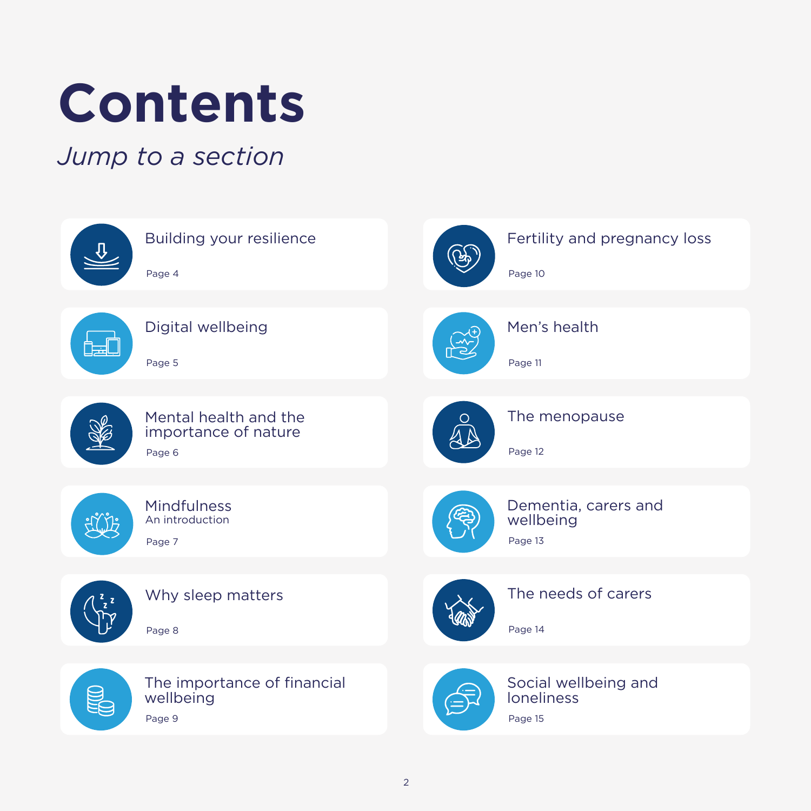## <span id="page-1-0"></span>**Contents**

### *Jump to a section*

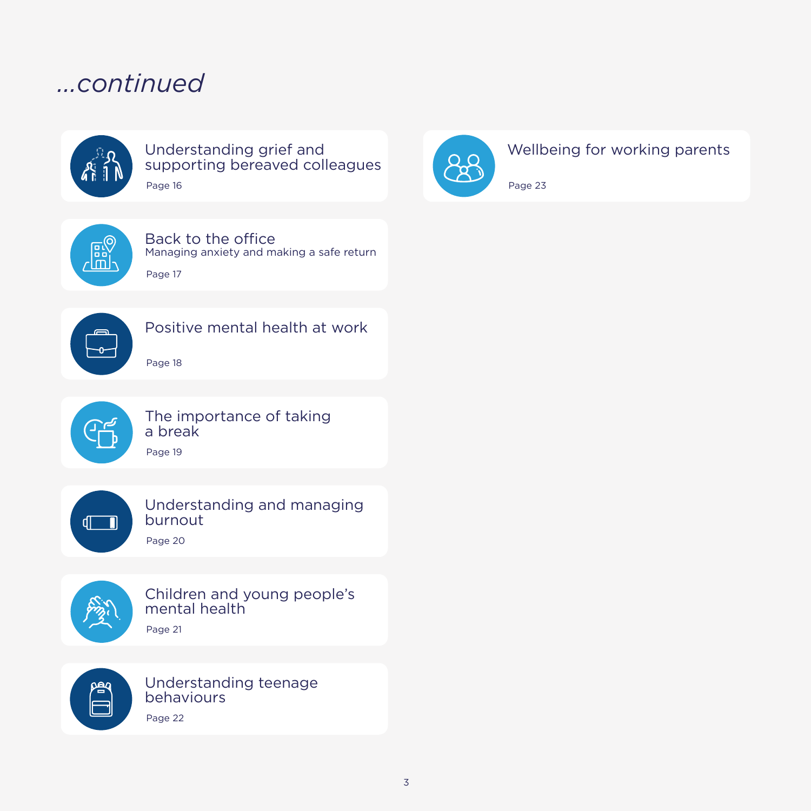### *...continued*



#### Understanding grief and [supporting bereaved colleagues](#page-15-0) Page 16



### [Wellbeing for working parents](#page-22-0)

Page 23



#### Back to the office [Managing anxiety and making a safe return](#page-16-0)

[Positive mental health at work](#page-17-0)

Page 17

Page 18





### [The importance of taking](#page-18-0)  a break

Page 19



### [Understanding and managing](#page-19-0) burnout

Page 20



[Children and young people's](#page-20-0)  mental health Page 21



[Understanding teenage](#page-21-0)  behaviours Page 22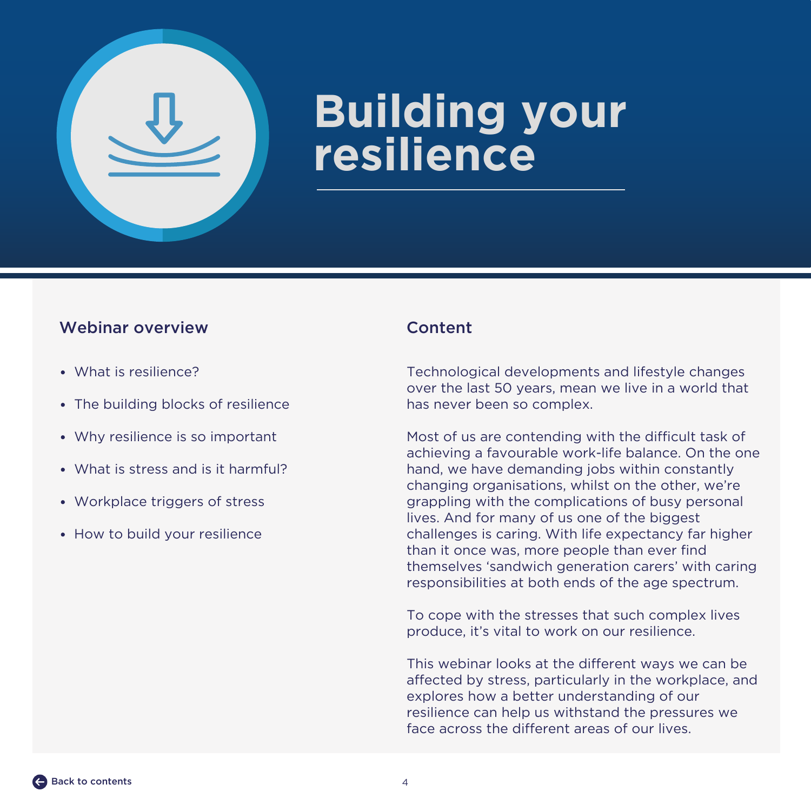<span id="page-3-0"></span>

## **Building your resilience**

### Webinar overview Content

- What is resilience?
- The building blocks of resilience
- Why resilience is so important
- What is stress and is it harmful?
- Workplace triggers of stress
- How to build your resilience

Technological developments and lifestyle changes over the last 50 years, mean we live in a world that has never been so complex.

Most of us are contending with the difficult task of achieving a favourable work-life balance. On the one hand, we have demanding jobs within constantly changing organisations, whilst on the other, we're grappling with the complications of busy personal lives. And for many of us one of the biggest challenges is caring. With life expectancy far higher than it once was, more people than ever find themselves 'sandwich generation carers' with caring responsibilities at both ends of the age spectrum.

To cope with the stresses that such complex lives produce, it's vital to work on our resilience.

This webinar looks at the different ways we can be affected by stress, particularly in the workplace, and explores how a better understanding of our resilience can help us withstand the pressures we face across the different areas of our lives.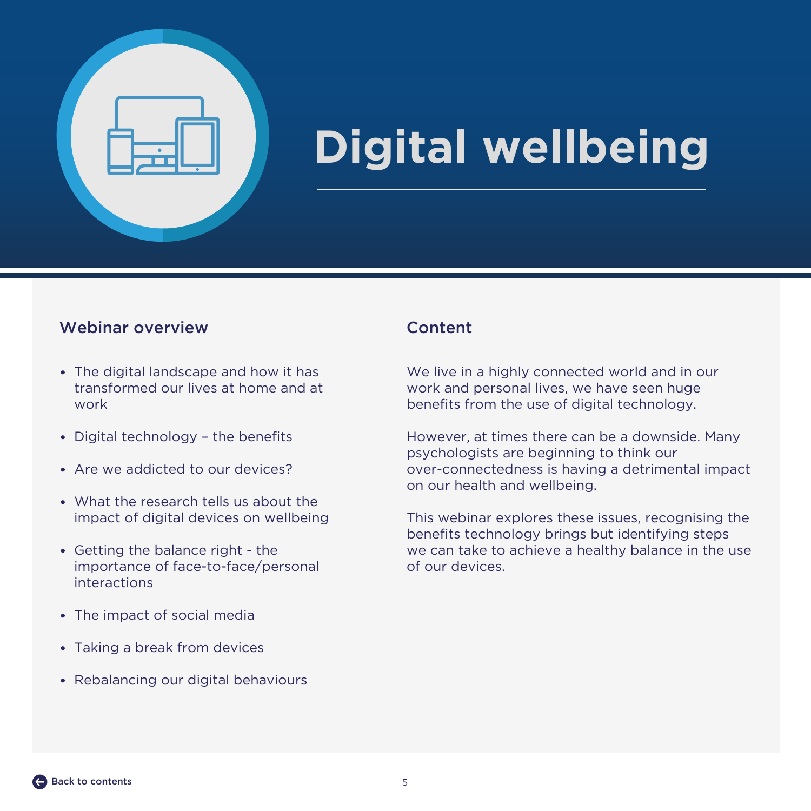<span id="page-4-0"></span>

## **Digital wellbeing**

### Webinar overview Content

- The digital landscape and how it has transformed our lives at home and at work
- Digital technology the benefits
- Are we addicted to our devices?
- What the research tells us about the impact of digital devices on wellbeing
- Getting the balance right the importance of face-to-face/personal interactions
- The impact of social media
- Taking a break from devices
- Rebalancing our digital behaviours

We live in a highly connected world and in our work and personal lives, we have seen huge benefits from the use of digital technology.

However, at times there can be a downside. Many psychologists are beginning to think our over-connectedness is having a detrimental impact on our health and wellbeing.

This webinar explores these issues, recognising the benefits technology brings but identifying steps we can take to achieve a healthy balance in the use of our devices.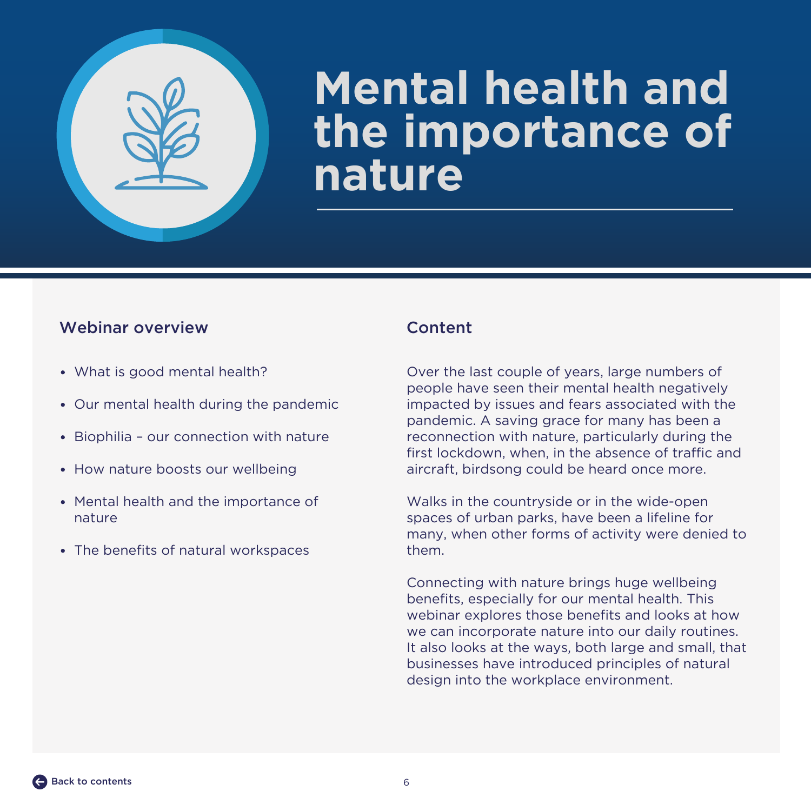<span id="page-5-0"></span>

## **Mental health and the importance of nature**

### Webinar overview Content

- What is good mental health?
- Our mental health during the pandemic
- Biophilia our connection with nature
- How nature boosts our wellbeing
- Mental health and the importance of nature
- The benefits of natural workspaces

Over the last couple of years, large numbers of people have seen their mental health negatively impacted by issues and fears associated with the pandemic. A saving grace for many has been a reconnection with nature, particularly during the first lockdown, when, in the absence of traffic and aircraft, birdsong could be heard once more.

Walks in the countryside or in the wide-open spaces of urban parks, have been a lifeline for many, when other forms of activity were denied to them.

Connecting with nature brings huge wellbeing benefits, especially for our mental health. This webinar explores those benefits and looks at how we can incorporate nature into our daily routines. It also looks at the ways, both large and small, that businesses have introduced principles of natural design into the workplace environment.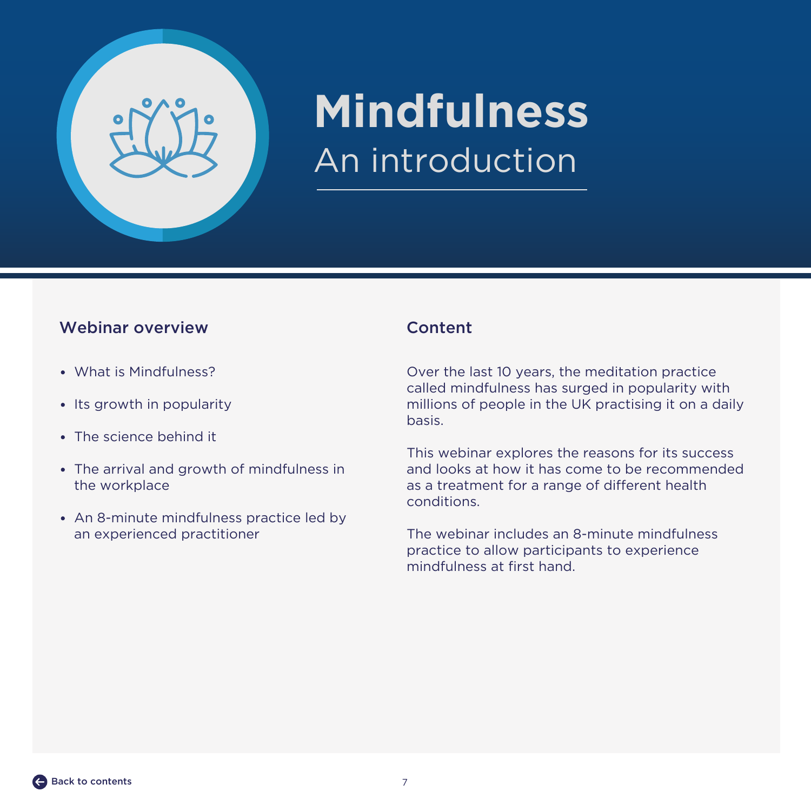<span id="page-6-0"></span>

## **Mindfulness** An introduction

### Webinar overview Content

- What is Mindfulness?
- Its growth in popularity
- The science behind it
- The arrival and growth of mindfulness in the workplace
- An 8-minute mindfulness practice led by an experienced practitioner

Over the last 10 years, the meditation practice called mindfulness has surged in popularity with millions of people in the UK practising it on a daily basis.

This webinar explores the reasons for its success and looks at how it has come to be recommended as a treatment for a range of different health conditions.

The webinar includes an 8-minute mindfulness practice to allow participants to experience mindfulness at first hand.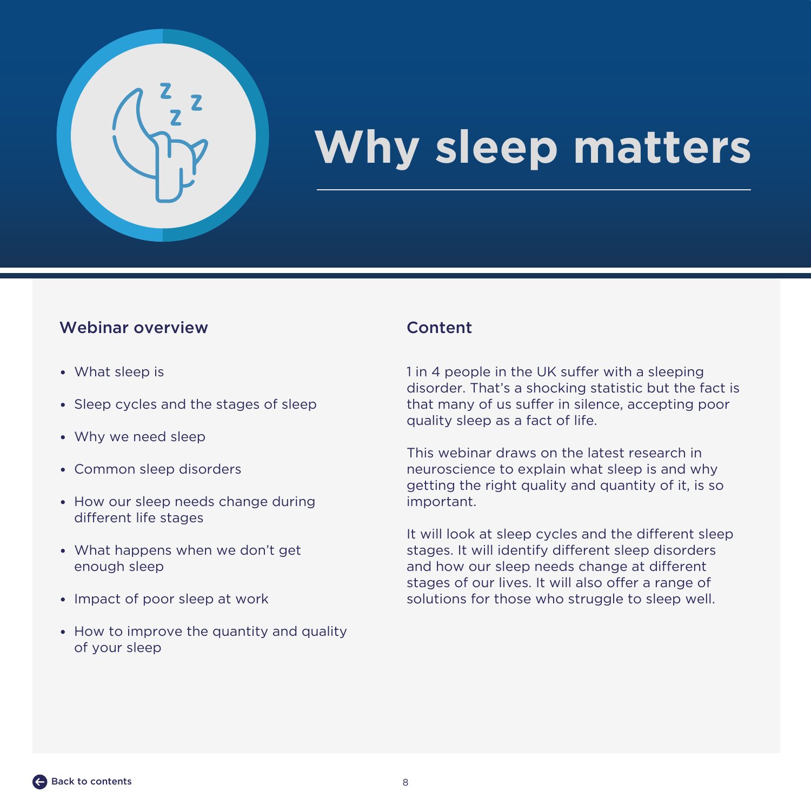<span id="page-7-0"></span>

## **Why sleep matters**

### Webinar overview Content

- What sleep is
- Sleep cycles and the stages of sleep
- Why we need sleep
- Common sleep disorders
- How our sleep needs change during different life stages
- What happens when we don't get enough sleep
- Impact of poor sleep at work
- How to improve the quantity and quality of your sleep

1 in 4 people in the UK suffer with a sleeping disorder. That's a shocking statistic but the fact is that many of us suffer in silence, accepting poor quality sleep as a fact of life.

This webinar draws on the latest research in neuroscience to explain what sleep is and why getting the right quality and quantity of it, is so important.

It will look at sleep cycles and the different sleep stages. It will identify different sleep disorders and how our sleep needs change at different stages of our lives. It will also offer a range of solutions for those who struggle to sleep well.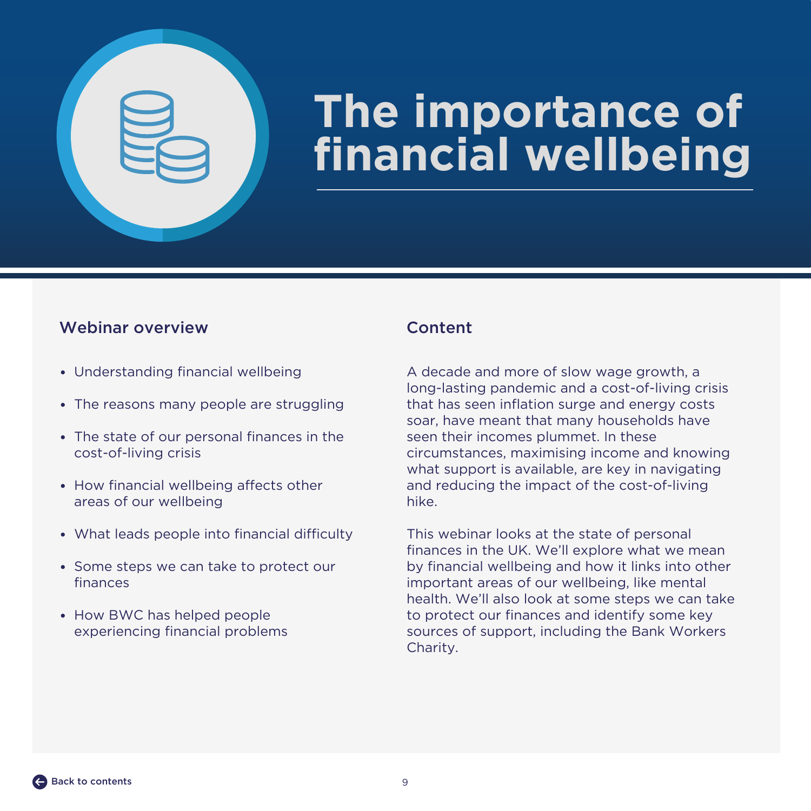<span id="page-8-0"></span>

## **The importance of financial wellbeing**

### Webinar overview Content

- Understanding financial wellbeing
- The reasons many people are struggling
- The state of our personal finances in the cost-of-living crisis
- How financial wellbeing affects other areas of our wellbeing
- What leads people into financial difficulty
- Some steps we can take to protect our finances
- How BWC has helped people experiencing financial problems

A decade and more of slow wage growth, a long-lasting pandemic and a cost-of-living crisis that has seen inflation surge and energy costs soar, have meant that many households have seen their incomes plummet. In these circumstances, maximising income and knowing what support is available, are key in navigating and reducing the impact of the cost-of-living hike.

This webinar looks at the state of personal finances in the UK. We'll explore what we mean by financial wellbeing and how it links into other important areas of our wellbeing, like mental health. We'll also look at some steps we can take to protect our finances and identify some key sources of support, including the Bank Workers Charity.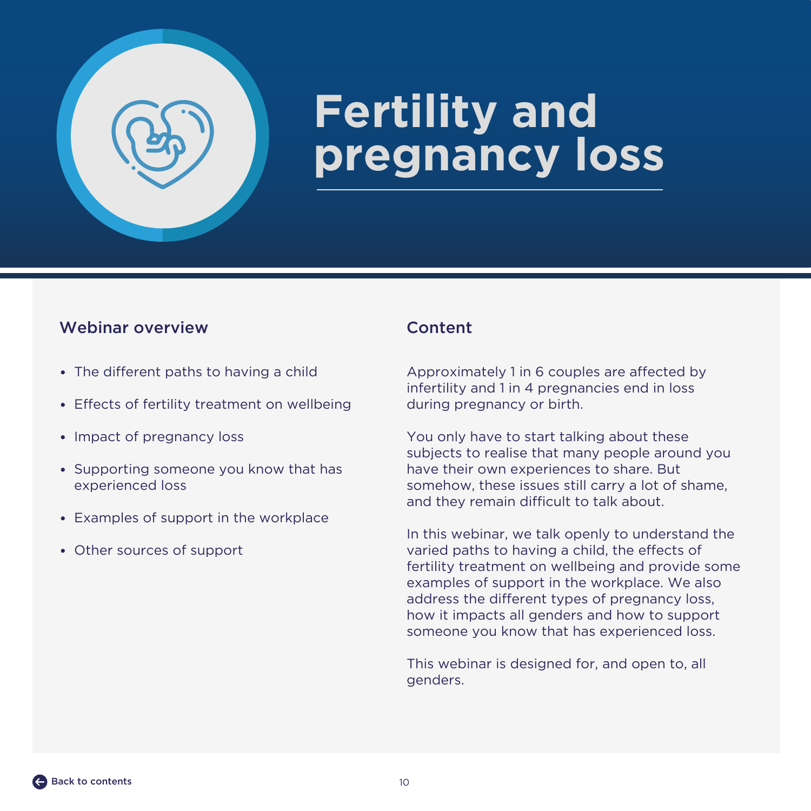<span id="page-9-0"></span>

## **Fertility and pregnancy loss**

### Webinar overview Content

- The different paths to having a child
- Effects of fertility treatment on wellbeing
- Impact of pregnancy loss
- Supporting someone you know that has experienced loss
- Examples of support in the workplace
- Other sources of support

Approximately 1 in 6 couples are affected by infertility and 1 in 4 pregnancies end in loss during pregnancy or birth.

You only have to start talking about these subjects to realise that many people around you have their own experiences to share. But somehow, these issues still carry a lot of shame, and they remain difficult to talk about.

In this webinar, we talk openly to understand the varied paths to having a child, the effects of fertility treatment on wellbeing and provide some examples of support in the workplace. We also address the different types of pregnancy loss, how it impacts all genders and how to support someone you know that has experienced loss.

This webinar is designed for, and open to, all genders.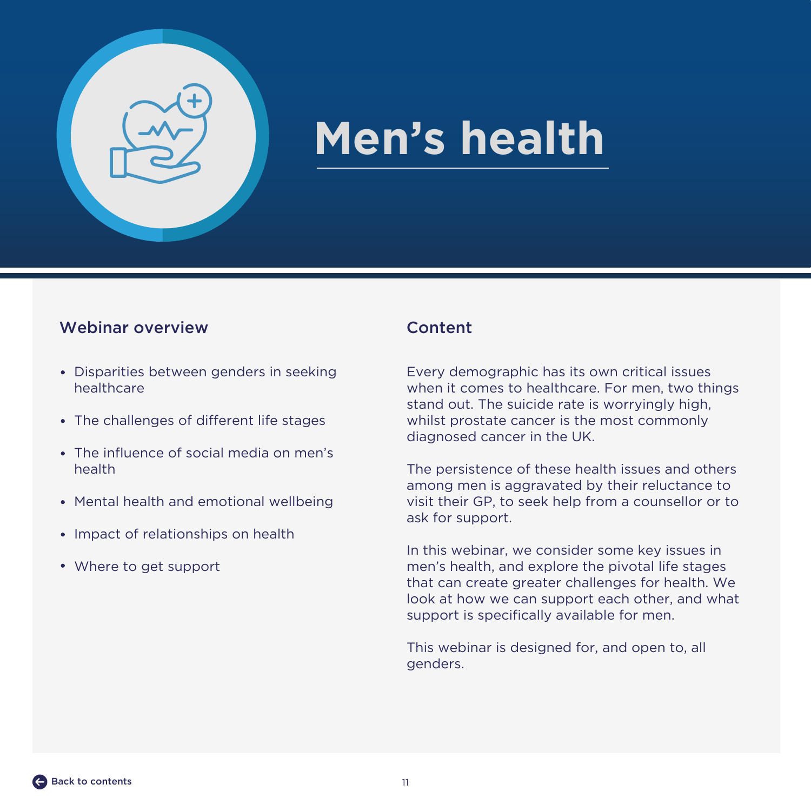<span id="page-10-0"></span>

## **Men's health**

### Webinar overview Content

- Disparities between genders in seeking healthcare
- The challenges of different life stages
- The influence of social media on men's health
- Mental health and emotional wellbeing
- Impact of relationships on health
- Where to get support

Every demographic has its own critical issues when it comes to healthcare. For men, two things stand out. The suicide rate is worryingly high, whilst prostate cancer is the most commonly diagnosed cancer in the UK.

The persistence of these health issues and others among men is aggravated by their reluctance to visit their GP, to seek help from a counsellor or to ask for support.

In this webinar, we consider some key issues in men's health, and explore the pivotal life stages that can create greater challenges for health. We look at how we can support each other, and what support is specifically available for men.

This webinar is designed for, and open to, all genders.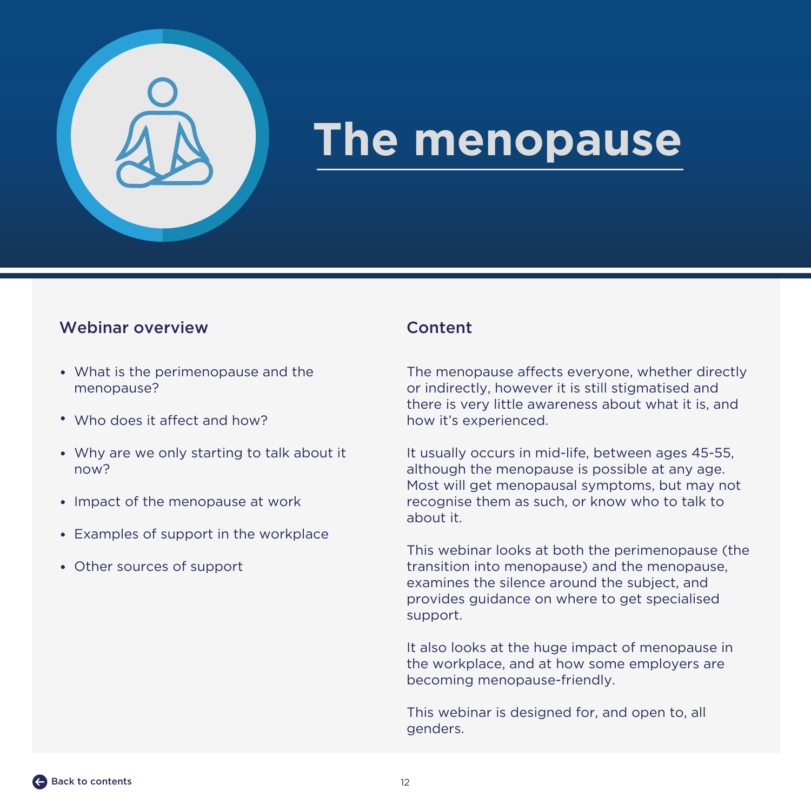<span id="page-11-0"></span>

## **The menopause**

### Webinar overview Content

- What is the perimenopause and the menopause?
- Who does it affect and how?
- Why are we only starting to talk about it now?
- Impact of the menopause at work
- Examples of support in the workplace
- Other sources of support

The menopause affects everyone, whether directly or indirectly, however it is still stigmatised and there is very little awareness about what it is, and how it's experienced.

It usually occurs in mid-life, between ages 45-55, although the menopause is possible at any age. Most will get menopausal symptoms, but may not recognise them as such, or know who to talk to about it.

This webinar looks at both the perimenopause (the transition into menopause) and the menopause, examines the silence around the subject, and provides guidance on where to get specialised support.

It also looks at the huge impact of menopause in the workplace, and at how some employers are becoming menopause-friendly.

This webinar is designed for, and open to, all genders.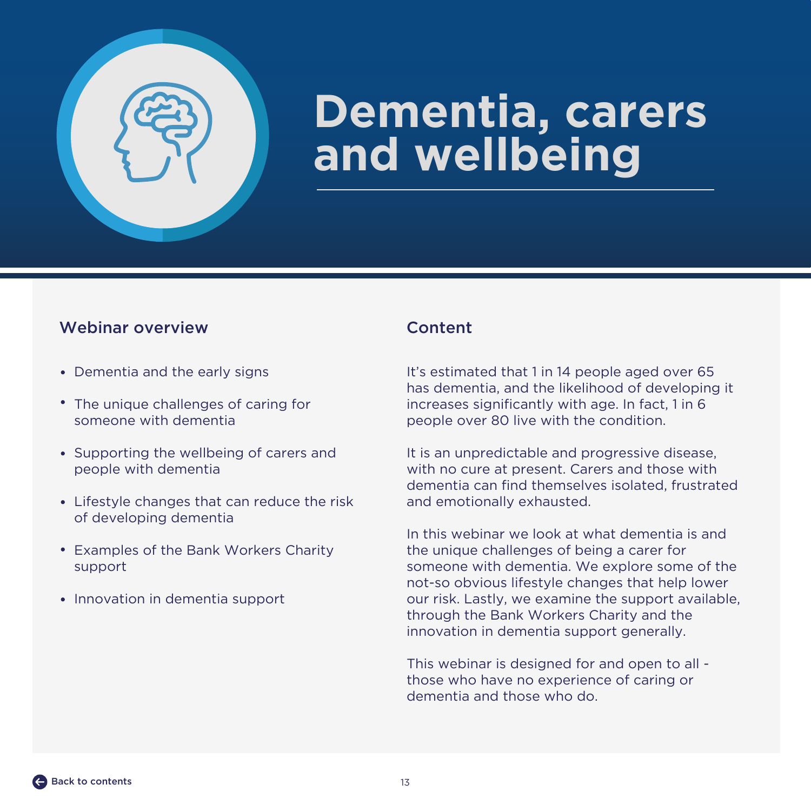<span id="page-12-0"></span>

## **Dementia, carers and wellbeing**

### Webinar overview Content

- Dementia and the early signs
- The unique challenges of caring for someone with dementia
- Supporting the wellbeing of carers and people with dementia
- Lifestyle changes that can reduce the risk of developing dementia
- Examples of the Bank Workers Charity support
- Innovation in dementia support

It's estimated that 1 in 14 people aged over 65 has dementia, and the likelihood of developing it increases significantly with age. In fact, 1 in 6 people over 80 live with the condition.

It is an unpredictable and progressive disease, with no cure at present. Carers and those with dementia can find themselves isolated, frustrated and emotionally exhausted.

In this webinar we look at what dementia is and the unique challenges of being a carer for someone with dementia. We explore some of the not-so obvious lifestyle changes that help lower our risk. Lastly, we examine the support available, through the Bank Workers Charity and the innovation in dementia support generally.

This webinar is designed for and open to all those who have no experience of caring or dementia and those who do.

[Back to contents](#page-1-0)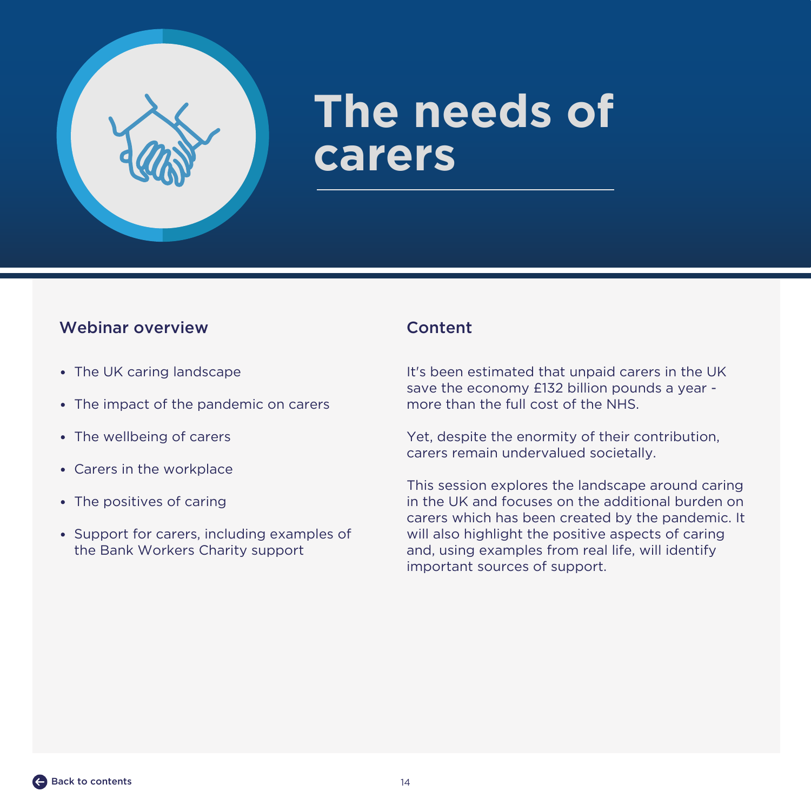<span id="page-13-0"></span>

## **The needs of carers**

### Webinar overview Content

- The UK caring landscape
- The impact of the pandemic on carers
- The wellbeing of carers
- Carers in the workplace
- The positives of caring
- Support for carers, including examples of the Bank Workers Charity support

It's been estimated that unpaid carers in the UK save the economy £132 billion pounds a year more than the full cost of the NHS.

Yet, despite the enormity of their contribution, carers remain undervalued societally.

This session explores the landscape around caring in the UK and focuses on the additional burden on carers which has been created by the pandemic. It will also highlight the positive aspects of caring and, using examples from real life, will identify important sources of support.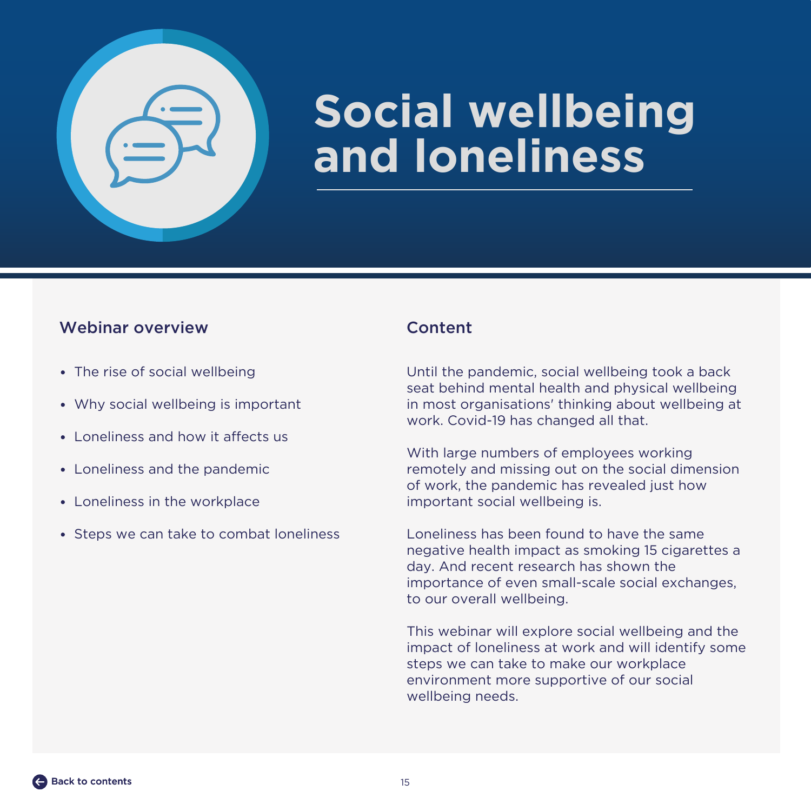<span id="page-14-0"></span>

## **Social wellbeing and loneliness**

### Webinar overview Content

- The rise of social wellbeing
- Why social wellbeing is important
- Loneliness and how it affects us
- Loneliness and the pandemic
- Loneliness in the workplace
- Steps we can take to combat loneliness

Until the pandemic, social wellbeing took a back seat behind mental health and physical wellbeing in most organisations' thinking about wellbeing at work. Covid-19 has changed all that.

With large numbers of employees working remotely and missing out on the social dimension of work, the pandemic has revealed just how important social wellbeing is.

Loneliness has been found to have the same negative health impact as smoking 15 cigarettes a day. And recent research has shown the importance of even small-scale social exchanges, to our overall wellbeing.

This webinar will explore social wellbeing and the impact of loneliness at work and will identify some steps we can take to make our workplace environment more supportive of our social wellbeing needs.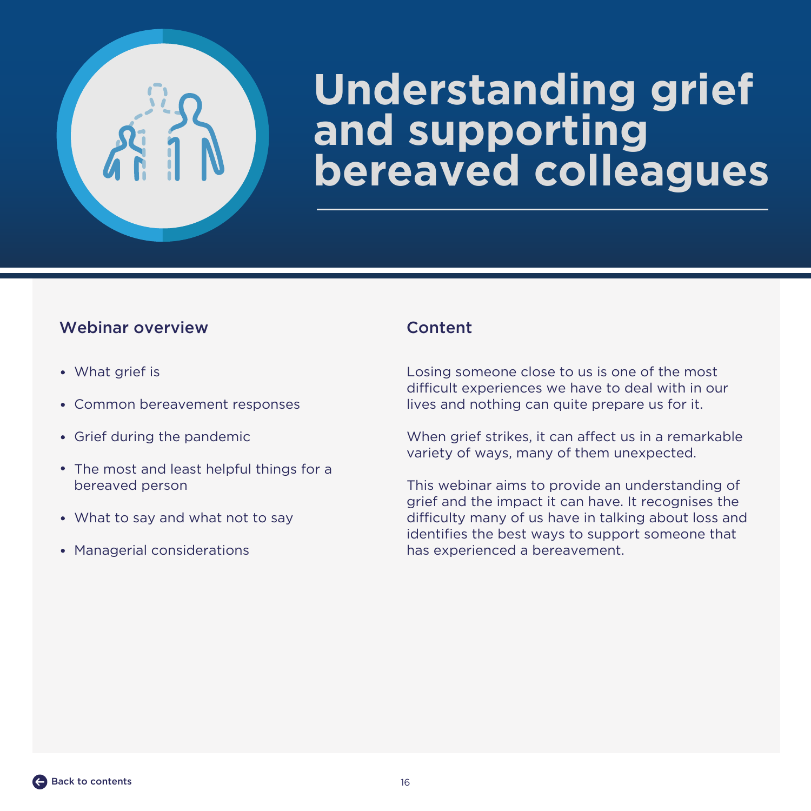<span id="page-15-0"></span>

## **Understanding grief and supporting bereaved colleagues**

### Webinar overview Content

- What grief is
- Common bereavement responses
- Grief during the pandemic
- The most and least helpful things for a bereaved person
- What to say and what not to say
- Managerial considerations

Losing someone close to us is one of the most difficult experiences we have to deal with in our lives and nothing can quite prepare us for it.

When grief strikes, it can affect us in a remarkable variety of ways, many of them unexpected.

This webinar aims to provide an understanding of grief and the impact it can have. It recognises the difficulty many of us have in talking about loss and identifies the best ways to support someone that has experienced a bereavement.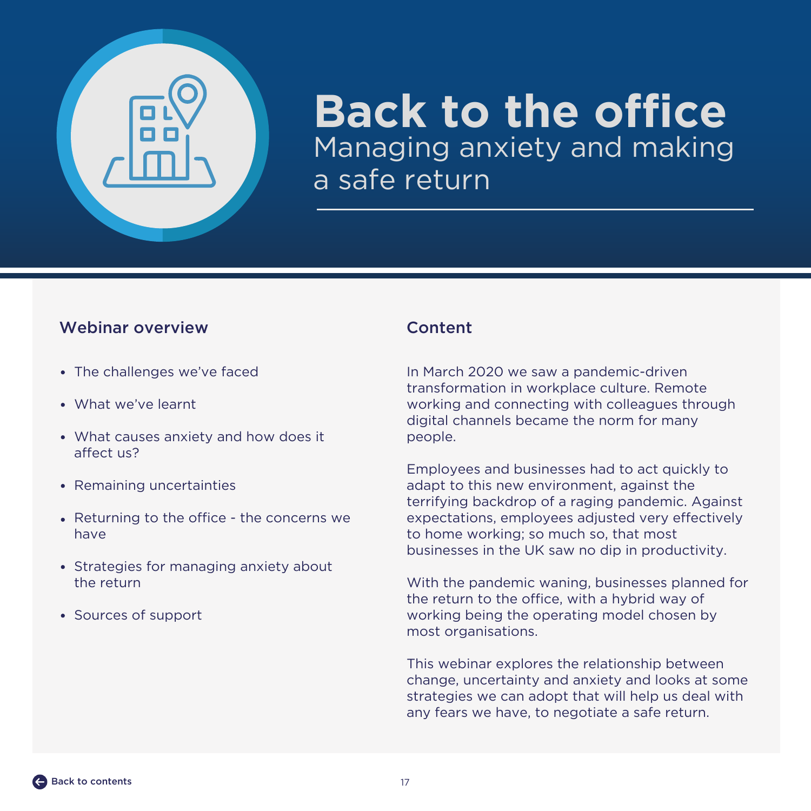<span id="page-16-0"></span>

### **Back to the office** Managing anxiety and making a safe return

### Webinar overview Content

- The challenges we've faced
- What we've learnt
- What causes anxiety and how does it affect us?
- Remaining uncertainties
- Returning to the office the concerns we have
- Strategies for managing anxiety about the return
- Sources of support

In March 2020 we saw a pandemic-driven transformation in workplace culture. Remote working and connecting with colleagues through digital channels became the norm for many people.

Employees and businesses had to act quickly to adapt to this new environment, against the terrifying backdrop of a raging pandemic. Against expectations, employees adjusted very effectively to home working; so much so, that most businesses in the UK saw no dip in productivity.

With the pandemic waning, businesses planned for the return to the office, with a hybrid way of working being the operating model chosen by most organisations.

This webinar explores the relationship between change, uncertainty and anxiety and looks at some strategies we can adopt that will help us deal with any fears we have, to negotiate a safe return.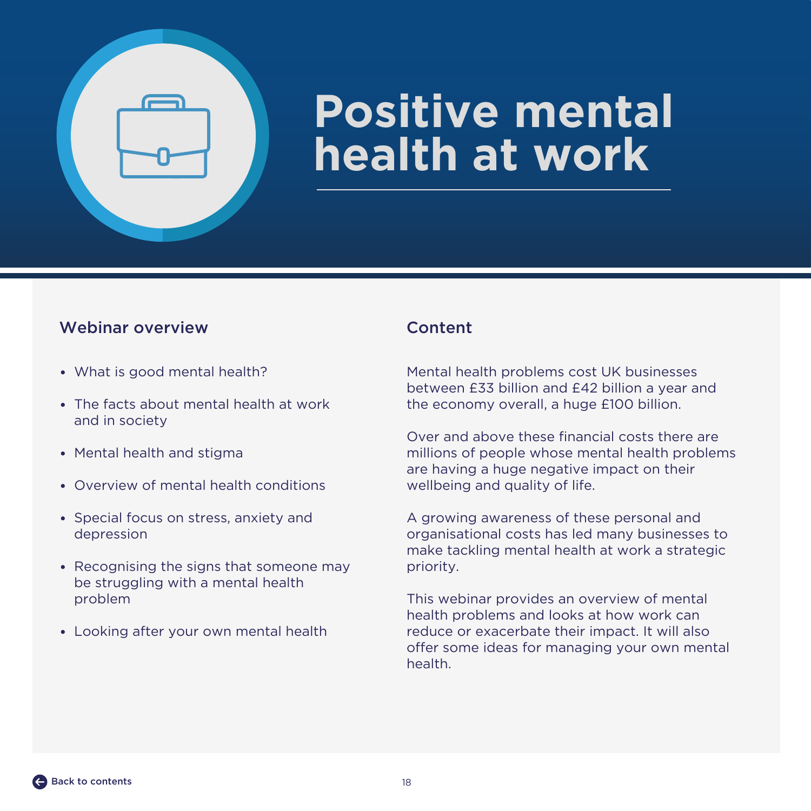<span id="page-17-0"></span>

## **Positive mental health at work**

### Webinar overview Content

- What is good mental health?
- The facts about mental health at work and in society
- Mental health and stigma
- Overview of mental health conditions
- Special focus on stress, anxiety and depression
- Recognising the signs that someone may be struggling with a mental health problem
- Looking after your own mental health

Mental health problems cost UK businesses between £33 billion and £42 billion a year and the economy overall, a huge £100 billion.

Over and above these financial costs there are millions of people whose mental health problems are having a huge negative impact on their wellbeing and quality of life.

A growing awareness of these personal and organisational costs has led many businesses to make tackling mental health at work a strategic priority.

This webinar provides an overview of mental health problems and looks at how work can reduce or exacerbate their impact. It will also offer some ideas for managing your own mental health.

[Back to contents](#page-1-0)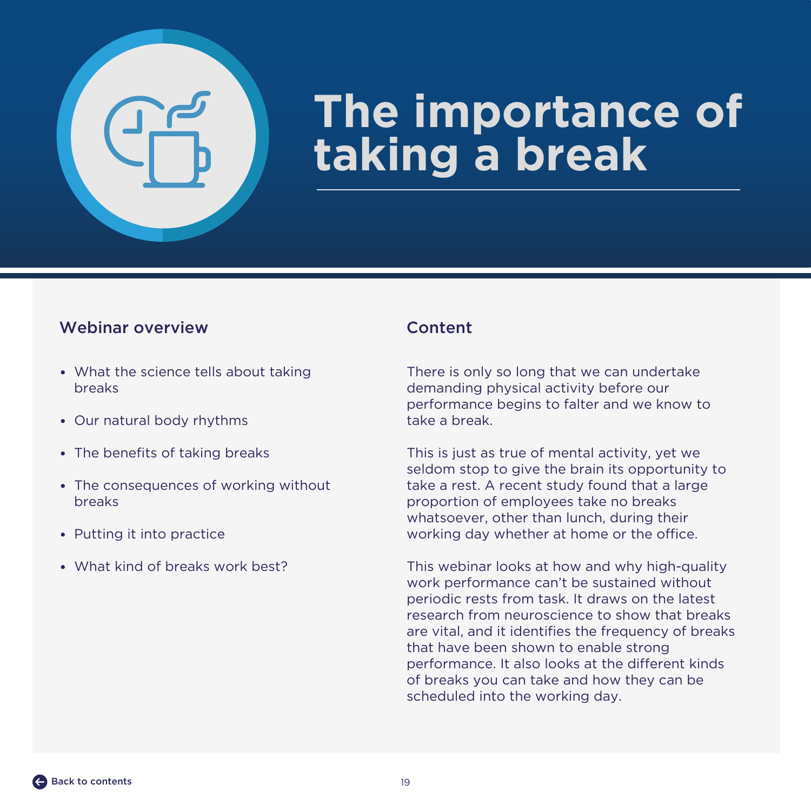<span id="page-18-0"></span>

## **The importance of taking a break**

### Webinar overview Content

- What the science tells about taking breaks
- Our natural body rhythms
- The benefits of taking breaks
- The consequences of working without breaks
- Putting it into practice
- What kind of breaks work best?

There is only so long that we can undertake demanding physical activity before our performance begins to falter and we know to take a break.

This is just as true of mental activity, yet we seldom stop to give the brain its opportunity to take a rest. A recent study found that a large proportion of employees take no breaks whatsoever, other than lunch, during their working day whether at home or the office.

This webinar looks at how and why high-quality work performance can't be sustained without periodic rests from task. It draws on the latest research from neuroscience to show that breaks are vital, and it identifies the frequency of breaks that have been shown to enable strong performance. It also looks at the different kinds of breaks you can take and how they can be scheduled into the working day.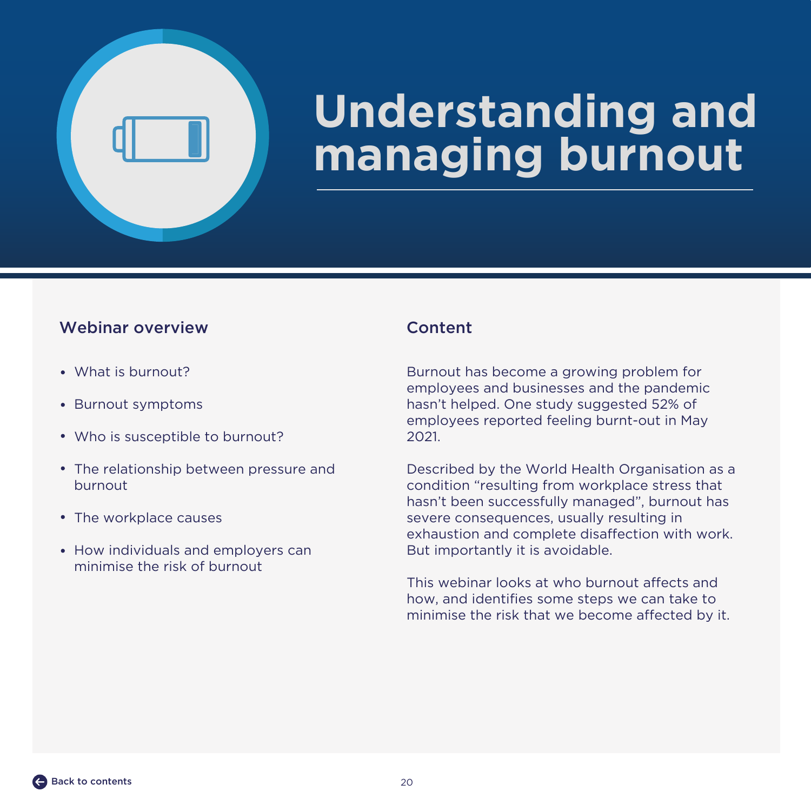<span id="page-19-0"></span>

## **Understanding and managing burnout**

### Webinar overview Content

- What is burnout?
- Burnout symptoms
- Who is susceptible to burnout?
- The relationship between pressure and burnout
- The workplace causes
- How individuals and employers can minimise the risk of burnout

Burnout has become a growing problem for employees and businesses and the pandemic hasn't helped. One study suggested 52% of employees reported feeling burnt-out in May 2021.

Described by the World Health Organisation as a condition "resulting from workplace stress that hasn't been successfully managed", burnout has severe consequences, usually resulting in exhaustion and complete disaffection with work. But importantly it is avoidable.

This webinar looks at who burnout affects and how, and identifies some steps we can take to minimise the risk that we become affected by it.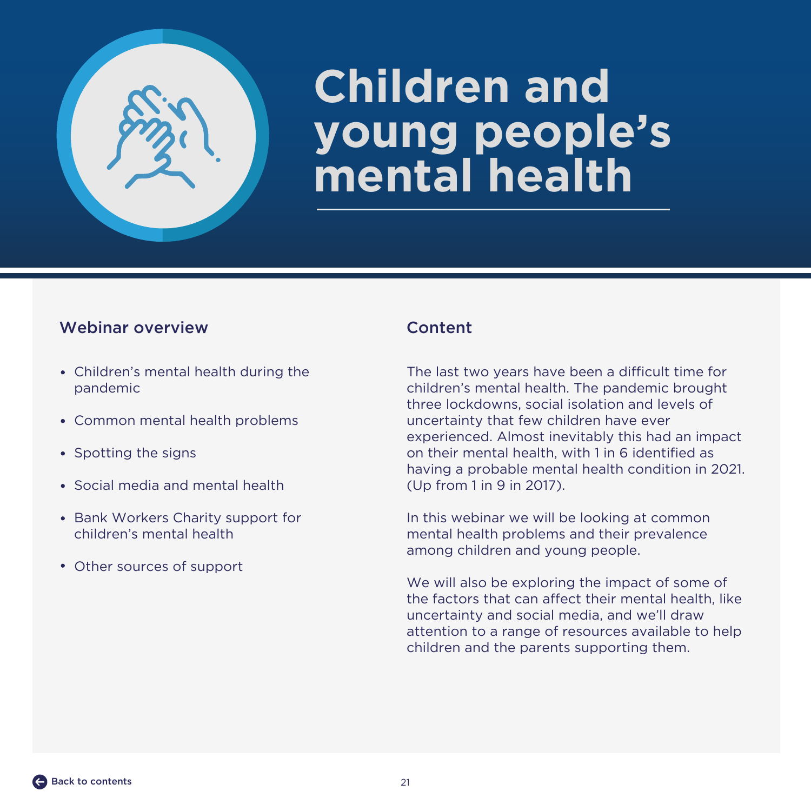<span id="page-20-0"></span>

## **Children and young people's mental health**

### Webinar overview Content

- Children's mental health during the pandemic
- Common mental health problems
- Spotting the signs
- Social media and mental health
- Bank Workers Charity support for children's mental health
- Other sources of support

The last two years have been a difficult time for children's mental health. The pandemic brought three lockdowns, social isolation and levels of uncertainty that few children have ever experienced. Almost inevitably this had an impact on their mental health, with 1 in 6 identified as having a probable mental health condition in 2021. (Up from 1 in 9 in 2017).

In this webinar we will be looking at common mental health problems and their prevalence among children and young people.

We will also be exploring the impact of some of the factors that can affect their mental health, like uncertainty and social media, and we'll draw attention to a range of resources available to help children and the parents supporting them.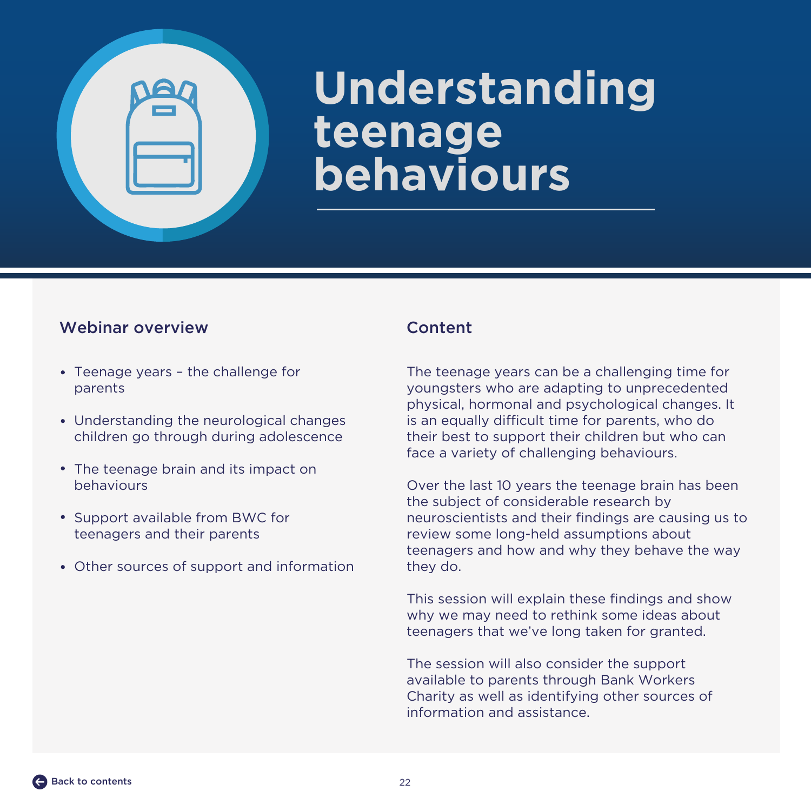## <span id="page-21-0"></span>**Understanding teenage behaviours**

### Webinar overview Content

- Teenage years the challenge for parents
- Understanding the neurological changes children go through during adolescence
- The teenage brain and its impact on behaviours
- Support available from BWC for teenagers and their parents
- Other sources of support and information

The teenage years can be a challenging time for youngsters who are adapting to unprecedented physical, hormonal and psychological changes. It is an equally difficult time for parents, who do their best to support their children but who can face a variety of challenging behaviours.

Over the last 10 years the teenage brain has been the subject of considerable research by neuroscientists and their findings are causing us to review some long-held assumptions about teenagers and how and why they behave the way they do.

This session will explain these findings and show why we may need to rethink some ideas about teenagers that we've long taken for granted.

The session will also consider the support available to parents through Bank Workers Charity as well as identifying other sources of information and assistance.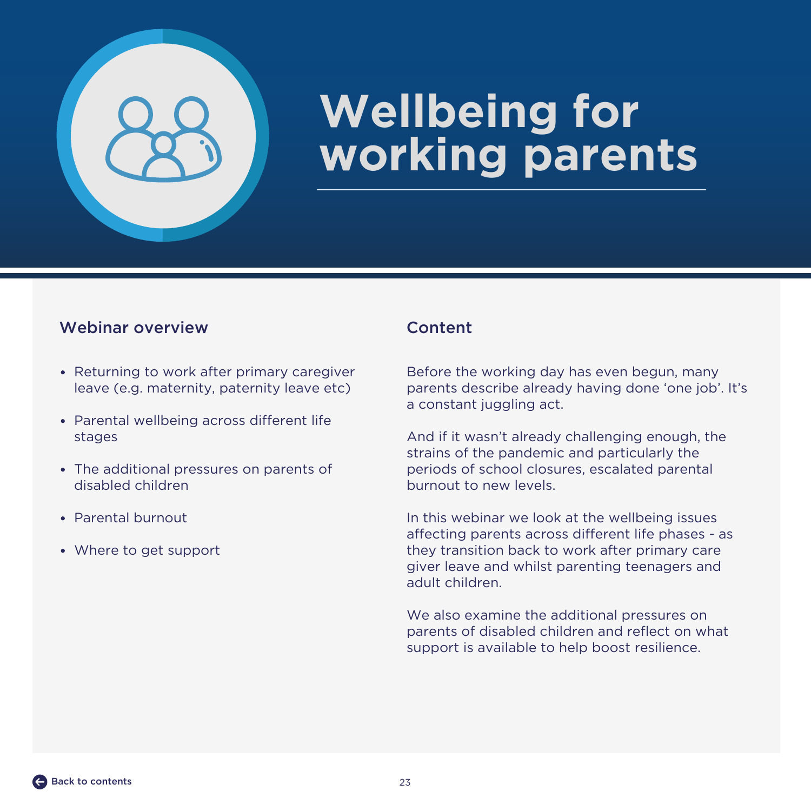<span id="page-22-0"></span>

## **Wellbeing for working parents**

### Webinar overview Content

- Returning to work after primary caregiver leave (e.g. maternity, paternity leave etc)
- Parental wellbeing across different life stages
- The additional pressures on parents of disabled children
- Parental burnout
- Where to get support

Before the working day has even begun, many parents describe already having done 'one job'. It's a constant juggling act.

And if it wasn't already challenging enough, the strains of the pandemic and particularly the periods of school closures, escalated parental burnout to new levels.

In this webinar we look at the wellbeing issues affecting parents across different life phases - as they transition back to work after primary care giver leave and whilst parenting teenagers and adult children.

We also examine the additional pressures on parents of disabled children and reflect on what support is available to help boost resilience.